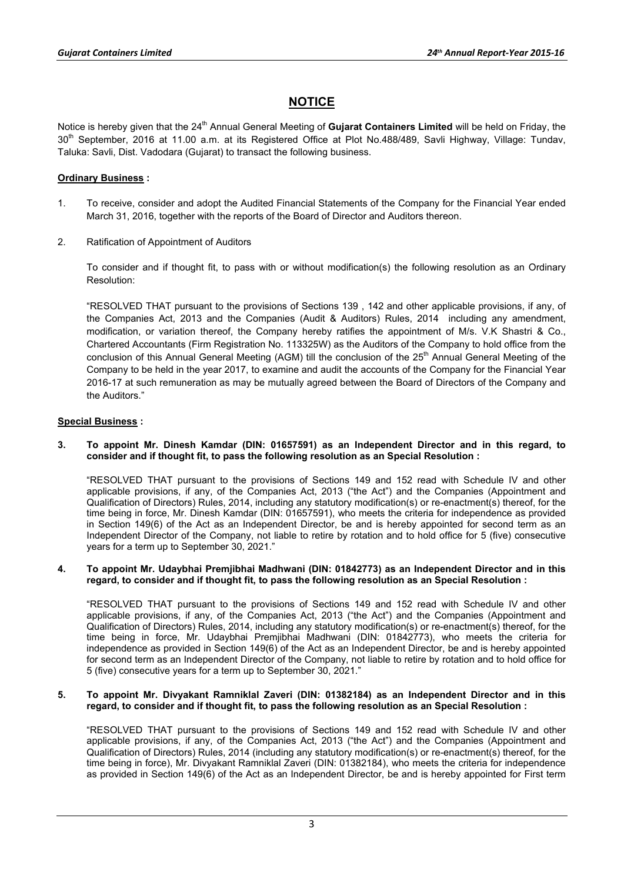# **NOTICE**

Notice is hereby given that the 24<sup>th</sup> Annual General Meeting of **Gujarat Containers Limited** will be held on Friday, the 30<sup>th</sup> September, 2016 at 11.00 a.m. at its Registered Office at Plot No.488/489, Savli Highway, Village: Tundav, Taluka: Savli, Dist. Vadodara (Gujarat) to transact the following business.

## **Ordinary Business :**

- 1. To receive, consider and adopt the Audited Financial Statements of the Company for the Financial Year ended March 31, 2016, together with the reports of the Board of Director and Auditors thereon.
- 2. Ratification of Appointment of Auditors

To consider and if thought fit, to pass with or without modification(s) the following resolution as an Ordinary Resolution:

"RESOLVED THAT pursuant to the provisions of Sections 139 , 142 and other applicable provisions, if any, of the Companies Act, 2013 and the Companies (Audit & Auditors) Rules, 2014 including any amendment, modification, or variation thereof, the Company hereby ratifies the appointment of M/s. V.K Shastri & Co., Chartered Accountants (Firm Registration No. 113325W) as the Auditors of the Company to hold office from the conclusion of this Annual General Meeting (AGM) till the conclusion of the 25<sup>th</sup> Annual General Meeting of the Company to be held in the year 2017, to examine and audit the accounts of the Company for the Financial Year 2016-17 at such remuneration as may be mutually agreed between the Board of Directors of the Company and the Auditors."

## **Special Business :**

**3. To appoint Mr. Dinesh Kamdar (DIN: 01657591) as an Independent Director and in this regard, to consider and if thought fit, to pass the following resolution as an Special Resolution :** 

"RESOLVED THAT pursuant to the provisions of Sections 149 and 152 read with Schedule IV and other applicable provisions, if any, of the Companies Act, 2013 ("the Act") and the Companies (Appointment and Qualification of Directors) Rules, 2014, including any statutory modification(s) or re-enactment(s) thereof, for the time being in force, Mr. Dinesh Kamdar (DIN: 01657591), who meets the criteria for independence as provided in Section 149(6) of the Act as an Independent Director, be and is hereby appointed for second term as an Independent Director of the Company, not liable to retire by rotation and to hold office for 5 (five) consecutive years for a term up to September 30, 2021."

#### **4. To appoint Mr. Udaybhai Premjibhai Madhwani (DIN: 01842773) as an Independent Director and in this regard, to consider and if thought fit, to pass the following resolution as an Special Resolution :**

"RESOLVED THAT pursuant to the provisions of Sections 149 and 152 read with Schedule IV and other applicable provisions, if any, of the Companies Act, 2013 ("the Act") and the Companies (Appointment and Qualification of Directors) Rules, 2014, including any statutory modification(s) or re-enactment(s) thereof, for the time being in force, Mr. Udaybhai Premjibhai Madhwani (DIN: 01842773), who meets the criteria for independence as provided in Section 149(6) of the Act as an Independent Director, be and is hereby appointed for second term as an Independent Director of the Company, not liable to retire by rotation and to hold office for 5 (five) consecutive years for a term up to September 30, 2021."

#### **5. To appoint Mr. Divyakant Ramniklal Zaveri (DIN: 01382184) as an Independent Director and in this regard, to consider and if thought fit, to pass the following resolution as an Special Resolution :**

"RESOLVED THAT pursuant to the provisions of Sections 149 and 152 read with Schedule IV and other applicable provisions, if any, of the Companies Act, 2013 ("the Act") and the Companies (Appointment and Qualification of Directors) Rules, 2014 (including any statutory modification(s) or re-enactment(s) thereof, for the time being in force), Mr. Divyakant Ramniklal Zaveri (DIN: 01382184), who meets the criteria for independence as provided in Section 149(6) of the Act as an Independent Director, be and is hereby appointed for First term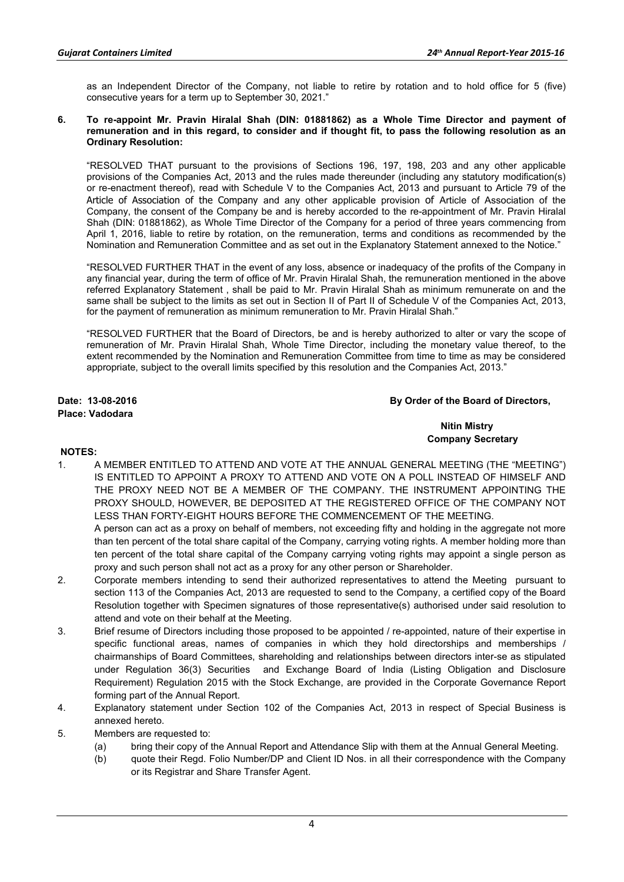as an Independent Director of the Company, not liable to retire by rotation and to hold office for 5 (five) consecutive years for a term up to September 30, 2021."

#### **6. To re-appoint Mr. Pravin Hiralal Shah (DIN: 01881862) as a Whole Time Director and payment of remuneration and in this regard, to consider and if thought fit, to pass the following resolution as an Ordinary Resolution:**

"RESOLVED THAT pursuant to the provisions of Sections 196, 197, 198, 203 and any other applicable provisions of the Companies Act, 2013 and the rules made thereunder (including any statutory modification(s) or re-enactment thereof), read with Schedule V to the Companies Act, 2013 and pursuant to Article 79 of the Article of Association of the Company and any other applicable provision of Article of Association of the Company, the consent of the Company be and is hereby accorded to the re-appointment of Mr. Pravin Hiralal Shah (DIN: 01881862), as Whole Time Director of the Company for a period of three years commencing from April 1, 2016, liable to retire by rotation, on the remuneration, terms and conditions as recommended by the Nomination and Remuneration Committee and as set out in the Explanatory Statement annexed to the Notice."

"RESOLVED FURTHER THAT in the event of any loss, absence or inadequacy of the profits of the Company in any financial year, during the term of office of Mr. Pravin Hiralal Shah, the remuneration mentioned in the above referred Explanatory Statement , shall be paid to Mr. Pravin Hiralal Shah as minimum remunerate on and the same shall be subject to the limits as set out in Section II of Part II of Schedule V of the Companies Act, 2013, for the payment of remuneration as minimum remuneration to Mr. Pravin Hiralal Shah."

"RESOLVED FURTHER that the Board of Directors, be and is hereby authorized to alter or vary the scope of remuneration of Mr. Pravin Hiralal Shah, Whole Time Director, including the monetary value thereof, to the extent recommended by the Nomination and Remuneration Committee from time to time as may be considered appropriate, subject to the overall limits specified by this resolution and the Companies Act, 2013."

**Place: Vadodara** 

### **Date: 13-08-2016 By Order of the Board of Directors,**

## **Nitin Mistry Company Secretary**

## **NOTES:**

1. A MEMBER ENTITLED TO ATTEND AND VOTE AT THE ANNUAL GENERAL MEETING (THE "MEETING") IS ENTITLED TO APPOINT A PROXY TO ATTEND AND VOTE ON A POLL INSTEAD OF HIMSELF AND THE PROXY NEED NOT BE A MEMBER OF THE COMPANY. THE INSTRUMENT APPOINTING THE PROXY SHOULD, HOWEVER, BE DEPOSITED AT THE REGISTERED OFFICE OF THE COMPANY NOT LESS THAN FORTY-EIGHT HOURS BEFORE THE COMMENCEMENT OF THE MEETING.

A person can act as a proxy on behalf of members, not exceeding fifty and holding in the aggregate not more than ten percent of the total share capital of the Company, carrying voting rights. A member holding more than ten percent of the total share capital of the Company carrying voting rights may appoint a single person as proxy and such person shall not act as a proxy for any other person or Shareholder.

- 2. Corporate members intending to send their authorized representatives to attend the Meeting pursuant to section 113 of the Companies Act, 2013 are requested to send to the Company, a certified copy of the Board Resolution together with Specimen signatures of those representative(s) authorised under said resolution to attend and vote on their behalf at the Meeting.
- 3. Brief resume of Directors including those proposed to be appointed / re-appointed, nature of their expertise in specific functional areas, names of companies in which they hold directorships and memberships / chairmanships of Board Committees, shareholding and relationships between directors inter-se as stipulated under Regulation 36(3) Securities and Exchange Board of India (Listing Obligation and Disclosure Requirement) Regulation 2015 with the Stock Exchange, are provided in the Corporate Governance Report forming part of the Annual Report.
- 4. Explanatory statement under Section 102 of the Companies Act, 2013 in respect of Special Business is annexed hereto.
- 5. Members are requested to:
	- (a) bring their copy of the Annual Report and Attendance Slip with them at the Annual General Meeting.
	- (b) quote their Regd. Folio Number/DP and Client ID Nos. in all their correspondence with the Company or its Registrar and Share Transfer Agent.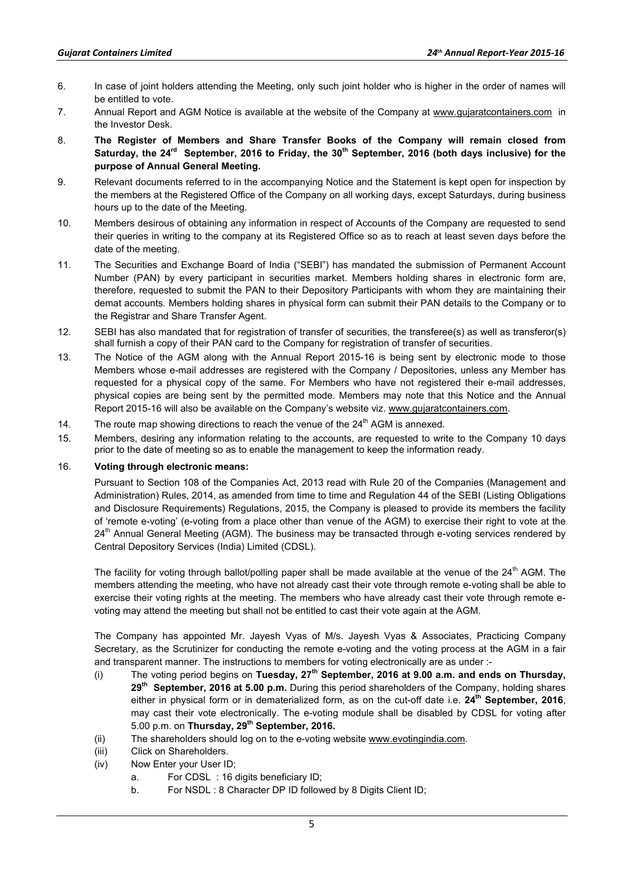- 6. In case of joint holders attending the Meeting, only such joint holder who is higher in the order of names will be entitled to vote.
- 7. Annual Report and AGM Notice is available at the website of the Company at www.gujaratcontainers.com in the Investor Desk.
- 8. **The Register of Members and Share Transfer Books of the Company will remain closed from**  Saturday, the 24<sup>rd</sup> September, 2016 to Friday, the 30<sup>th</sup> September, 2016 (both days inclusive) for the **purpose of Annual General Meeting.**
- 9. Relevant documents referred to in the accompanying Notice and the Statement is kept open for inspection by the members at the Registered Office of the Company on all working days, except Saturdays, during business hours up to the date of the Meeting.
- 10. Members desirous of obtaining any information in respect of Accounts of the Company are requested to send their queries in writing to the company at its Registered Office so as to reach at least seven days before the date of the meeting.
- 11. The Securities and Exchange Board of India ("SEBI") has mandated the submission of Permanent Account Number (PAN) by every participant in securities market. Members holding shares in electronic form are, therefore, requested to submit the PAN to their Depository Participants with whom they are maintaining their demat accounts. Members holding shares in physical form can submit their PAN details to the Company or to the Registrar and Share Transfer Agent.
- 12. SEBI has also mandated that for registration of transfer of securities, the transferee(s) as well as transferor(s) shall furnish a copy of their PAN card to the Company for registration of transfer of securities.
- 13. The Notice of the AGM along with the Annual Report 2015-16 is being sent by electronic mode to those Members whose e-mail addresses are registered with the Company / Depositories, unless any Member has requested for a physical copy of the same. For Members who have not registered their e-mail addresses, physical copies are being sent by the permitted mode. Members may note that this Notice and the Annual Report 2015-16 will also be available on the Company's website viz. www.gujaratcontainers.com.
- 14. The route map showing directions to reach the venue of the  $24<sup>th</sup>$  AGM is annexed.
- 15. Members, desiring any information relating to the accounts, are requested to write to the Company 10 days prior to the date of meeting so as to enable the management to keep the information ready.

#### 16. **Voting through electronic means:**

Pursuant to Section 108 of the Companies Act, 2013 read with Rule 20 of the Companies (Management and Administration) Rules, 2014, as amended from time to time and Regulation 44 of the SEBI (Listing Obligations and Disclosure Requirements) Regulations, 2015, the Company is pleased to provide its members the facility of 'remote e-voting' (e-voting from a place other than venue of the AGM) to exercise their right to vote at the 24<sup>th</sup> Annual General Meeting (AGM). The business may be transacted through e-voting services rendered by Central Depository Services (India) Limited (CDSL).

The facility for voting through ballot/polling paper shall be made available at the venue of the 24<sup>th</sup> AGM. The members attending the meeting, who have not already cast their vote through remote e-voting shall be able to exercise their voting rights at the meeting. The members who have already cast their vote through remote evoting may attend the meeting but shall not be entitled to cast their vote again at the AGM.

The Company has appointed Mr. Jayesh Vyas of M/s. Jayesh Vyas & Associates, Practicing Company Secretary, as the Scrutinizer for conducting the remote e-voting and the voting process at the AGM in a fair and transparent manner. The instructions to members for voting electronically are as under :-

- (i) The voting period begins on **Tuesday, 27th September, 2016 at 9.00 a.m. and ends on Thursday, 29th September, 2016 at 5.00 p.m.** During this period shareholders of the Company, holding shares either in physical form or in dematerialized form, as on the cut-off date i.e. **24th September, 2016**, may cast their vote electronically. The e-voting module shall be disabled by CDSL for voting after 5.00 p.m. on **Thursday, 29th September, 2016.**
- (ii) The shareholders should log on to the e-voting website www.evotingindia.com.
- (iii) Click on Shareholders.
- (iv) Now Enter your User ID;
	- a. For CDSL : 16 digits beneficiary ID;
	- b. For NSDL : 8 Character DP ID followed by 8 Digits Client ID;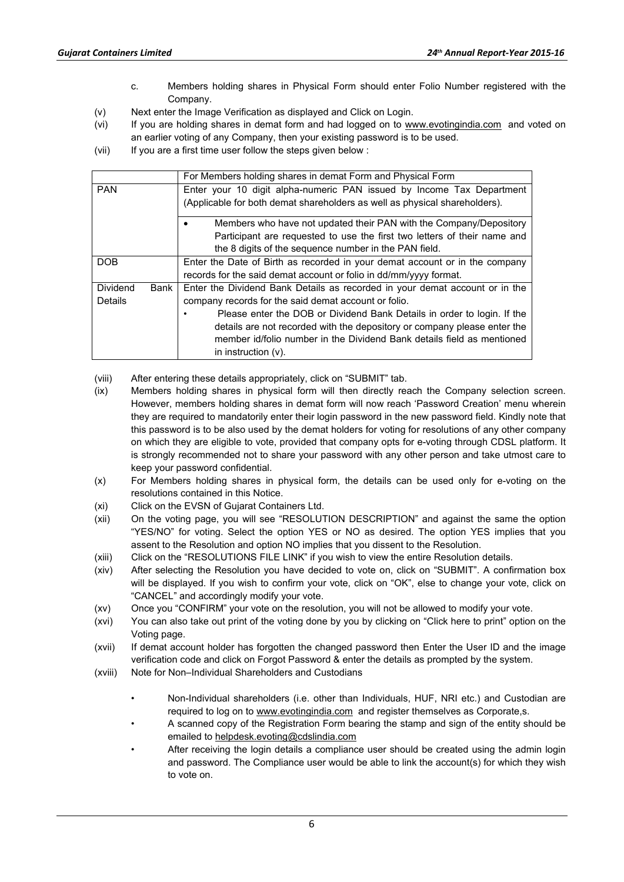- c. Members holding shares in Physical Form should enter Folio Number registered with the Company.
- (v) Next enter the Image Verification as displayed and Click on Login.
- (vi) If you are holding shares in demat form and had logged on to www.evotingindia.com and voted on an earlier voting of any Company, then your existing password is to be used.
- (vii) If you are a first time user follow the steps given below :

|                  | For Members holding shares in demat Form and Physical Form                  |  |  |
|------------------|-----------------------------------------------------------------------------|--|--|
| <b>PAN</b>       | Enter your 10 digit alpha-numeric PAN issued by Income Tax Department       |  |  |
|                  | (Applicable for both demat shareholders as well as physical shareholders).  |  |  |
|                  | Members who have not updated their PAN with the Company/Depository          |  |  |
|                  | Participant are requested to use the first two letters of their name and    |  |  |
|                  | the 8 digits of the sequence number in the PAN field.                       |  |  |
| <b>DOB</b>       | Enter the Date of Birth as recorded in your demat account or in the company |  |  |
|                  | records for the said demat account or folio in dd/mm/yyyy format.           |  |  |
| Dividend<br>Bank | Enter the Dividend Bank Details as recorded in your demat account or in the |  |  |
| Details          | company records for the said demat account or folio.                        |  |  |
|                  | Please enter the DOB or Dividend Bank Details in order to login. If the     |  |  |
|                  | details are not recorded with the depository or company please enter the    |  |  |
|                  | member id/folio number in the Dividend Bank details field as mentioned      |  |  |
|                  | in instruction $(v)$ .                                                      |  |  |

(viii) After entering these details appropriately, click on "SUBMIT" tab.

- (ix) Members holding shares in physical form will then directly reach the Company selection screen. However, members holding shares in demat form will now reach 'Password Creation' menu wherein they are required to mandatorily enter their login password in the new password field. Kindly note that this password is to be also used by the demat holders for voting for resolutions of any other company on which they are eligible to vote, provided that company opts for e-voting through CDSL platform. It is strongly recommended not to share your password with any other person and take utmost care to keep your password confidential.
- (x) For Members holding shares in physical form, the details can be used only for e-voting on the resolutions contained in this Notice.
- (xi) Click on the EVSN of Gujarat Containers Ltd.
- (xii) On the voting page, you will see "RESOLUTION DESCRIPTION" and against the same the option "YES/NO" for voting. Select the option YES or NO as desired. The option YES implies that you assent to the Resolution and option NO implies that you dissent to the Resolution.
- (xiii) Click on the "RESOLUTIONS FILE LINK" if you wish to view the entire Resolution details.
- (xiv) After selecting the Resolution you have decided to vote on, click on "SUBMIT". A confirmation box will be displayed. If you wish to confirm your vote, click on "OK", else to change your vote, click on "CANCEL" and accordingly modify your vote.
- (xv) Once you "CONFIRM" your vote on the resolution, you will not be allowed to modify your vote.
- (xvi) You can also take out print of the voting done by you by clicking on "Click here to print" option on the Voting page.
- (xvii) If demat account holder has forgotten the changed password then Enter the User ID and the image verification code and click on Forgot Password & enter the details as prompted by the system.
- (xviii) Note for Non–Individual Shareholders and Custodians
	- Non-Individual shareholders (i.e. other than Individuals, HUF, NRI etc.) and Custodian are required to log on to www.evotingindia.com and register themselves as Corporate,s.
	- A scanned copy of the Registration Form bearing the stamp and sign of the entity should be emailed to helpdesk.evoting@cdslindia.com
	- After receiving the login details a compliance user should be created using the admin login and password. The Compliance user would be able to link the account(s) for which they wish to vote on.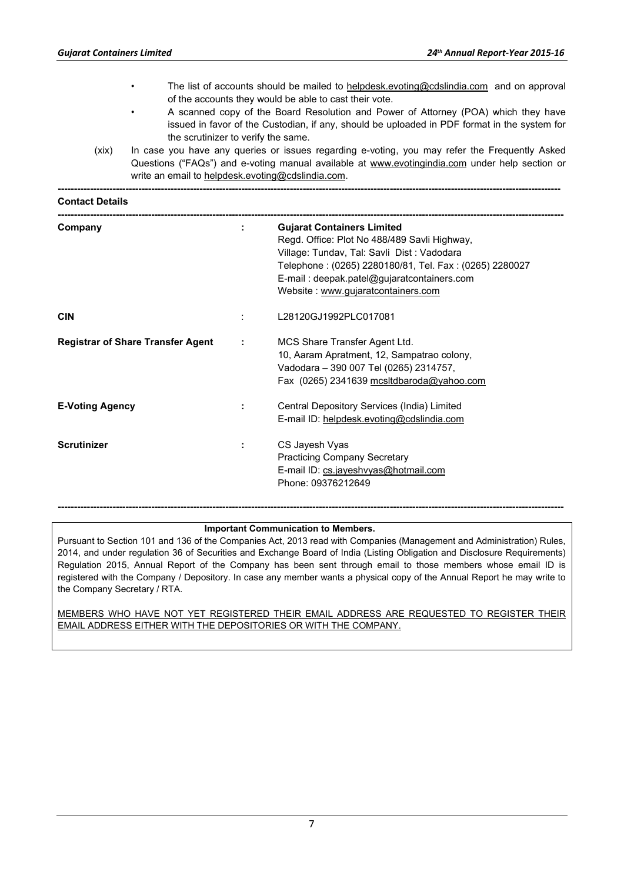- The list of accounts should be mailed to helpdesk.evoting@cdslindia.com and on approval of the accounts they would be able to cast their vote.
- A scanned copy of the Board Resolution and Power of Attorney (POA) which they have issued in favor of the Custodian, if any, should be uploaded in PDF format in the system for the scrutinizer to verify the same.
- (xix) In case you have any queries or issues regarding e-voting, you may refer the Frequently Asked Questions ("FAQs") and e-voting manual available at www.evotingindia.com under help section or write an email to helpdesk.evoting@cdslindia.com.

**------------------------------------------------------------------------------------------------------------------------------------------------------------** 

| <b>Contact Details</b>                   |                             |                                                                                                                                                                                                                                                                                |  |
|------------------------------------------|-----------------------------|--------------------------------------------------------------------------------------------------------------------------------------------------------------------------------------------------------------------------------------------------------------------------------|--|
| Company                                  | ÷.                          | <b>Gujarat Containers Limited</b><br>Regd. Office: Plot No 488/489 Savli Highway,<br>Village: Tundav, Tal: Savli Dist : Vadodara<br>Telephone: (0265) 2280180/81, Tel. Fax: (0265) 2280027<br>E-mail: deepak.patel@gujaratcontainers.com<br>Website: www.gujaratcontainers.com |  |
| <b>CIN</b>                               |                             | L28120GJ1992PLC017081                                                                                                                                                                                                                                                          |  |
| <b>Registrar of Share Transfer Agent</b> | $\mathcal{L}_{\mathcal{A}}$ | MCS Share Transfer Agent Ltd.<br>10, Aaram Apratment, 12, Sampatrao colony,<br>Vadodara - 390 007 Tel (0265) 2314757,<br>Fax (0265) 2341639 mcsltdbaroda@yahoo.com                                                                                                             |  |
| <b>E-Voting Agency</b>                   | ÷                           | Central Depository Services (India) Limited<br>E-mail ID: helpdesk.evoting@cdslindia.com                                                                                                                                                                                       |  |
| Scrutinizer                              | ÷                           | CS Jayesh Vyas<br><b>Practicing Company Secretary</b><br>E-mail ID: cs.jayeshvyas@hotmail.com<br>Phone: 09376212649                                                                                                                                                            |  |

#### **Important Communication to Members.**

Pursuant to Section 101 and 136 of the Companies Act, 2013 read with Companies (Management and Administration) Rules, 2014, and under regulation 36 of Securities and Exchange Board of India (Listing Obligation and Disclosure Requirements) Regulation 2015, Annual Report of the Company has been sent through email to those members whose email ID is registered with the Company / Depository. In case any member wants a physical copy of the Annual Report he may write to the Company Secretary / RTA.

**-------------------------------------------------------------------------------------------------------------------------------------------------------------** 

MEMBERS WHO HAVE NOT YET REGISTERED THEIR EMAIL ADDRESS ARE REQUESTED TO REGISTER THEIR EMAIL ADDRESS EITHER WITH THE DEPOSITORIES OR WITH THE COMPANY.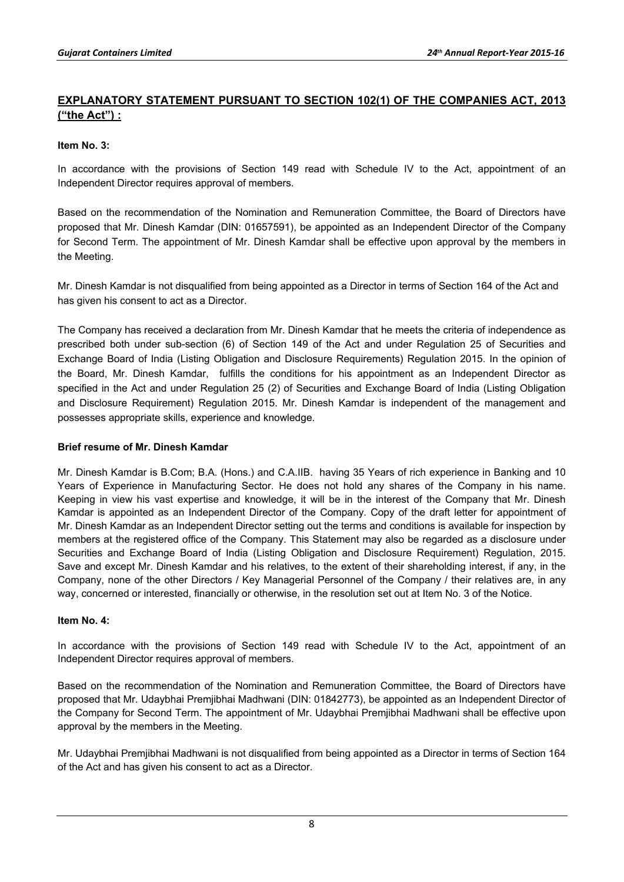# **EXPLANATORY STATEMENT PURSUANT TO SECTION 102(1) OF THE COMPANIES ACT, 2013 ("the Act") :**

## **Item No. 3:**

In accordance with the provisions of Section 149 read with Schedule IV to the Act, appointment of an Independent Director requires approval of members.

Based on the recommendation of the Nomination and Remuneration Committee, the Board of Directors have proposed that Mr. Dinesh Kamdar (DIN: 01657591), be appointed as an Independent Director of the Company for Second Term. The appointment of Mr. Dinesh Kamdar shall be effective upon approval by the members in the Meeting.

Mr. Dinesh Kamdar is not disqualified from being appointed as a Director in terms of Section 164 of the Act and has given his consent to act as a Director.

The Company has received a declaration from Mr. Dinesh Kamdar that he meets the criteria of independence as prescribed both under sub-section (6) of Section 149 of the Act and under Regulation 25 of Securities and Exchange Board of India (Listing Obligation and Disclosure Requirements) Regulation 2015. In the opinion of the Board, Mr. Dinesh Kamdar, fulfills the conditions for his appointment as an Independent Director as specified in the Act and under Regulation 25 (2) of Securities and Exchange Board of India (Listing Obligation and Disclosure Requirement) Regulation 2015. Mr. Dinesh Kamdar is independent of the management and possesses appropriate skills, experience and knowledge.

## **Brief resume of Mr. Dinesh Kamdar**

Mr. Dinesh Kamdar is B.Com; B.A. (Hons.) and C.A.IIB. having 35 Years of rich experience in Banking and 10 Years of Experience in Manufacturing Sector. He does not hold any shares of the Company in his name. Keeping in view his vast expertise and knowledge, it will be in the interest of the Company that Mr. Dinesh Kamdar is appointed as an Independent Director of the Company. Copy of the draft letter for appointment of Mr. Dinesh Kamdar as an Independent Director setting out the terms and conditions is available for inspection by members at the registered office of the Company. This Statement may also be regarded as a disclosure under Securities and Exchange Board of India (Listing Obligation and Disclosure Requirement) Regulation, 2015. Save and except Mr. Dinesh Kamdar and his relatives, to the extent of their shareholding interest, if any, in the Company, none of the other Directors / Key Managerial Personnel of the Company / their relatives are, in any way, concerned or interested, financially or otherwise, in the resolution set out at Item No. 3 of the Notice.

## **Item No. 4:**

In accordance with the provisions of Section 149 read with Schedule IV to the Act, appointment of an Independent Director requires approval of members.

Based on the recommendation of the Nomination and Remuneration Committee, the Board of Directors have proposed that Mr. Udaybhai Premjibhai Madhwani (DIN: 01842773), be appointed as an Independent Director of the Company for Second Term. The appointment of Mr. Udaybhai Premjibhai Madhwani shall be effective upon approval by the members in the Meeting.

Mr. Udaybhai Premjibhai Madhwani is not disqualified from being appointed as a Director in terms of Section 164 of the Act and has given his consent to act as a Director.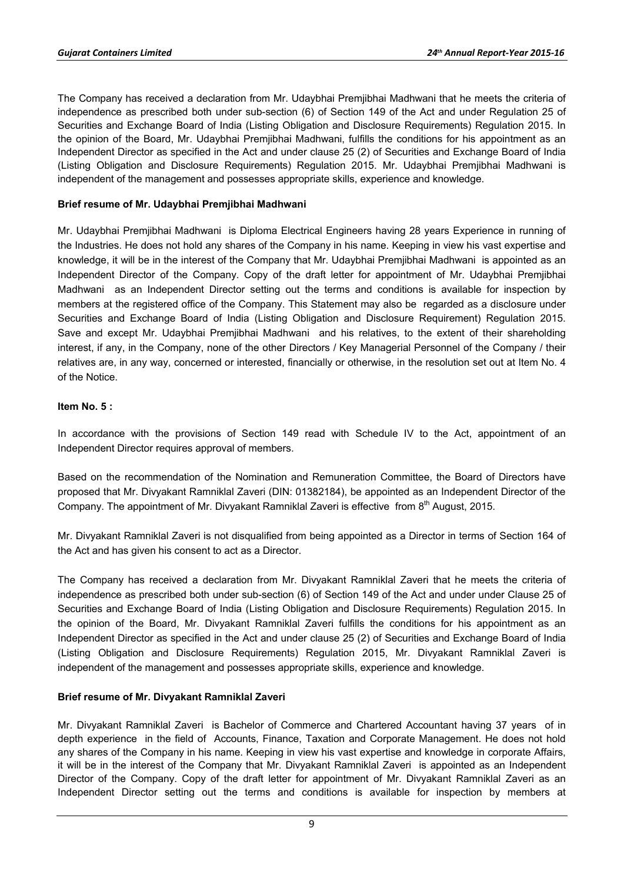The Company has received a declaration from Mr. Udaybhai Premjibhai Madhwani that he meets the criteria of independence as prescribed both under sub-section (6) of Section 149 of the Act and under Regulation 25 of Securities and Exchange Board of India (Listing Obligation and Disclosure Requirements) Regulation 2015. In the opinion of the Board, Mr. Udaybhai Premjibhai Madhwani, fulfills the conditions for his appointment as an Independent Director as specified in the Act and under clause 25 (2) of Securities and Exchange Board of India (Listing Obligation and Disclosure Requirements) Regulation 2015. Mr. Udaybhai Premjibhai Madhwani is independent of the management and possesses appropriate skills, experience and knowledge.

## **Brief resume of Mr. Udaybhai Premjibhai Madhwani**

Mr. Udaybhai Premjibhai Madhwani is Diploma Electrical Engineers having 28 years Experience in running of the Industries. He does not hold any shares of the Company in his name. Keeping in view his vast expertise and knowledge, it will be in the interest of the Company that Mr. Udaybhai Premjibhai Madhwani is appointed as an Independent Director of the Company. Copy of the draft letter for appointment of Mr. Udaybhai Premjibhai Madhwani as an Independent Director setting out the terms and conditions is available for inspection by members at the registered office of the Company. This Statement may also be regarded as a disclosure under Securities and Exchange Board of India (Listing Obligation and Disclosure Requirement) Regulation 2015. Save and except Mr. Udaybhai Premjibhai Madhwani and his relatives, to the extent of their shareholding interest, if any, in the Company, none of the other Directors / Key Managerial Personnel of the Company / their relatives are, in any way, concerned or interested, financially or otherwise, in the resolution set out at Item No. 4 of the Notice.

## **Item No. 5 :**

In accordance with the provisions of Section 149 read with Schedule IV to the Act, appointment of an Independent Director requires approval of members.

Based on the recommendation of the Nomination and Remuneration Committee, the Board of Directors have proposed that Mr. Divyakant Ramniklal Zaveri (DIN: 01382184), be appointed as an Independent Director of the Company. The appointment of Mr. Divyakant Ramniklal Zaveri is effective from 8<sup>th</sup> August, 2015.

Mr. Divyakant Ramniklal Zaveri is not disqualified from being appointed as a Director in terms of Section 164 of the Act and has given his consent to act as a Director.

The Company has received a declaration from Mr. Divyakant Ramniklal Zaveri that he meets the criteria of independence as prescribed both under sub-section (6) of Section 149 of the Act and under under Clause 25 of Securities and Exchange Board of India (Listing Obligation and Disclosure Requirements) Regulation 2015. In the opinion of the Board, Mr. Divyakant Ramniklal Zaveri fulfills the conditions for his appointment as an Independent Director as specified in the Act and under clause 25 (2) of Securities and Exchange Board of India (Listing Obligation and Disclosure Requirements) Regulation 2015, Mr. Divyakant Ramniklal Zaveri is independent of the management and possesses appropriate skills, experience and knowledge.

## **Brief resume of Mr. Divyakant Ramniklal Zaveri**

Mr. Divyakant Ramniklal Zaveri is Bachelor of Commerce and Chartered Accountant having 37 years of in depth experience in the field of Accounts, Finance, Taxation and Corporate Management. He does not hold any shares of the Company in his name. Keeping in view his vast expertise and knowledge in corporate Affairs, it will be in the interest of the Company that Mr. Divyakant Ramniklal Zaveri is appointed as an Independent Director of the Company. Copy of the draft letter for appointment of Mr. Divyakant Ramniklal Zaveri as an Independent Director setting out the terms and conditions is available for inspection by members at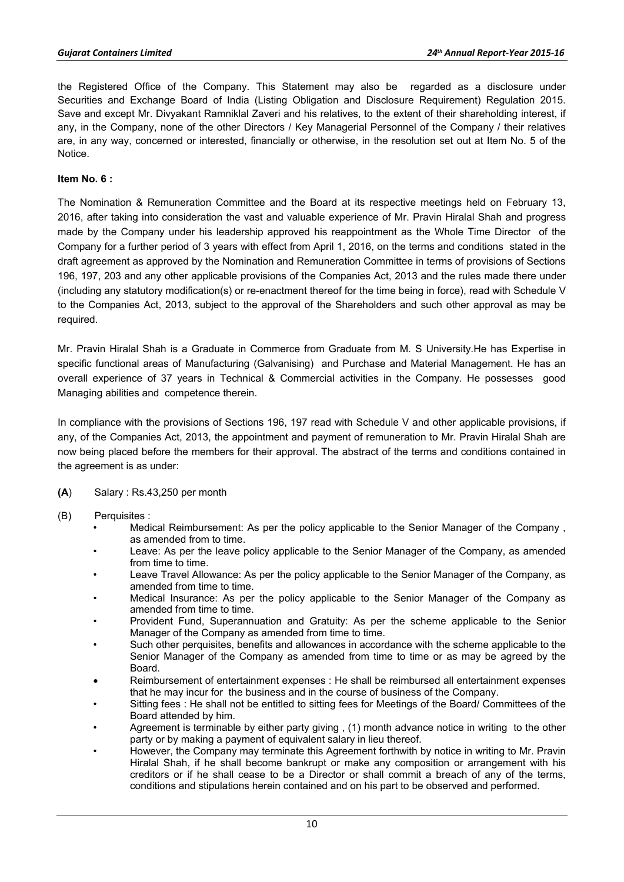the Registered Office of the Company. This Statement may also be regarded as a disclosure under Securities and Exchange Board of India (Listing Obligation and Disclosure Requirement) Regulation 2015. Save and except Mr. Divyakant Ramniklal Zaveri and his relatives, to the extent of their shareholding interest, if any, in the Company, none of the other Directors / Key Managerial Personnel of the Company / their relatives are, in any way, concerned or interested, financially or otherwise, in the resolution set out at Item No. 5 of the Notice.

## **Item No. 6 :**

The Nomination & Remuneration Committee and the Board at its respective meetings held on February 13, 2016, after taking into consideration the vast and valuable experience of Mr. Pravin Hiralal Shah and progress made by the Company under his leadership approved his reappointment as the Whole Time Director of the Company for a further period of 3 years with effect from April 1, 2016, on the terms and conditions stated in the draft agreement as approved by the Nomination and Remuneration Committee in terms of provisions of Sections 196, 197, 203 and any other applicable provisions of the Companies Act, 2013 and the rules made there under (including any statutory modification(s) or re-enactment thereof for the time being in force), read with Schedule V to the Companies Act, 2013, subject to the approval of the Shareholders and such other approval as may be required.

Mr. Pravin Hiralal Shah is a Graduate in Commerce from Graduate from M. S University.He has Expertise in specific functional areas of Manufacturing (Galvanising) and Purchase and Material Management. He has an overall experience of 37 years in Technical & Commercial activities in the Company. He possesses good Managing abilities and competence therein.

In compliance with the provisions of Sections 196, 197 read with Schedule V and other applicable provisions, if any, of the Companies Act, 2013, the appointment and payment of remuneration to Mr. Pravin Hiralal Shah are now being placed before the members for their approval. The abstract of the terms and conditions contained in the agreement is as under:

- **(A**) Salary : Rs.43,250 per month
- (B) Perquisites :
	- Medical Reimbursement: As per the policy applicable to the Senior Manager of the Company , as amended from to time.
	- Leave: As per the leave policy applicable to the Senior Manager of the Company, as amended from time to time.
	- Leave Travel Allowance: As per the policy applicable to the Senior Manager of the Company, as amended from time to time.
	- Medical Insurance: As per the policy applicable to the Senior Manager of the Company as amended from time to time.
	- Provident Fund, Superannuation and Gratuity: As per the scheme applicable to the Senior Manager of the Company as amended from time to time.
	- Such other perquisites, benefits and allowances in accordance with the scheme applicable to the Senior Manager of the Company as amended from time to time or as may be agreed by the Board.
	- Reimbursement of entertainment expenses : He shall be reimbursed all entertainment expenses that he may incur for the business and in the course of business of the Company.
	- Sitting fees : He shall not be entitled to sitting fees for Meetings of the Board/ Committees of the Board attended by him.
	- Agreement is terminable by either party giving , (1) month advance notice in writing to the other party or by making a payment of equivalent salary in lieu thereof.
	- However, the Company may terminate this Agreement forthwith by notice in writing to Mr. Pravin Hiralal Shah, if he shall become bankrupt or make any composition or arrangement with his creditors or if he shall cease to be a Director or shall commit a breach of any of the terms, conditions and stipulations herein contained and on his part to be observed and performed.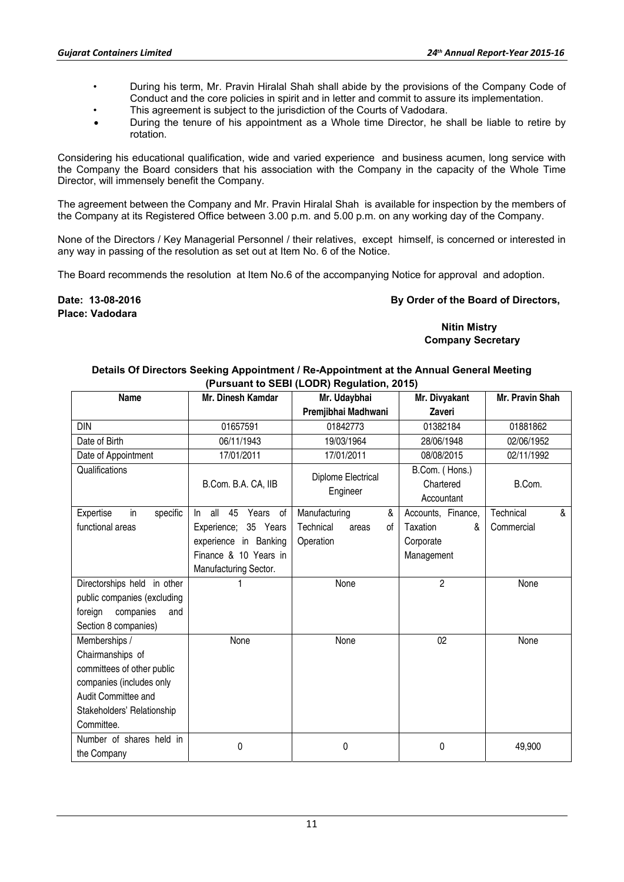- During his term, Mr. Pravin Hiralal Shah shall abide by the provisions of the Company Code of Conduct and the core policies in spirit and in letter and commit to assure its implementation.
- This agreement is subject to the jurisdiction of the Courts of Vadodara.
- During the tenure of his appointment as a Whole time Director, he shall be liable to retire by rotation.

Considering his educational qualification, wide and varied experience and business acumen, long service with the Company the Board considers that his association with the Company in the capacity of the Whole Time Director, will immensely benefit the Company.

The agreement between the Company and Mr. Pravin Hiralal Shah is available for inspection by the members of the Company at its Registered Office between 3.00 p.m. and 5.00 p.m. on any working day of the Company.

None of the Directors / Key Managerial Personnel / their relatives, except himself, is concerned or interested in any way in passing of the resolution as set out at Item No. 6 of the Notice.

The Board recommends the resolution at Item No.6 of the accompanying Notice for approval and adoption.

**Place: Vadodara** 

## **Date: 13-08-2016 By Order of the Board of Directors, By Order of the Board of Directors,**

## **Nitin Mistry Company Secretary**

### **Details Of Directors Seeking Appointment / Re-Appointment at the Annual General Meeting (Pursuant to SEBI (LODR) Regulation, 2015)**

| <b>Name</b>                 | Mr. Dinesh Kamdar           | Mr. Udaybhai             | Mr. Divyakant      | Mr. Pravin Shah                        |  |
|-----------------------------|-----------------------------|--------------------------|--------------------|----------------------------------------|--|
|                             |                             | Premjibhai Madhwani      | Zaveri             |                                        |  |
| <b>DIN</b>                  | 01657591                    | 01842773                 | 01382184           | 01881862                               |  |
| Date of Birth               | 06/11/1943                  | 19/03/1964               | 28/06/1948         | 02/06/1952                             |  |
| Date of Appointment         | 17/01/2011                  | 17/01/2011               | 08/08/2015         | 02/11/1992                             |  |
| Qualifications              |                             | Diplome Electrical       | B.Com. (Hons.)     |                                        |  |
|                             | B.Com. B.A. CA, IIB         | Engineer                 | Chartered          | B.Com.                                 |  |
|                             |                             |                          | Accountant         |                                        |  |
| in<br>specific<br>Expertise | all<br>Years of<br>45<br>In | Manufacturing<br>&       | Accounts, Finance, | Technical<br>$\boldsymbol{\mathsf{R}}$ |  |
| functional areas            | Experience; 35 Years        | Technical<br>οf<br>areas | Taxation<br>&      | Commercial                             |  |
|                             | experience in Banking       | Operation                | Corporate          |                                        |  |
|                             | Finance & 10 Years in       |                          | Management         |                                        |  |
|                             | Manufacturing Sector.       |                          |                    |                                        |  |
| Directorships held in other |                             | None                     | $\overline{2}$     | None                                   |  |
| public companies (excluding |                             |                          |                    |                                        |  |
| foreign<br>companies<br>and |                             |                          |                    |                                        |  |
| Section 8 companies)        |                             |                          |                    |                                        |  |
| Memberships /               | None                        | None                     | 02                 | None                                   |  |
| Chairmanships of            |                             |                          |                    |                                        |  |
| committees of other public  |                             |                          |                    |                                        |  |
| companies (includes only    |                             |                          |                    |                                        |  |
| Audit Committee and         |                             |                          |                    |                                        |  |
| Stakeholders' Relationship  |                             |                          |                    |                                        |  |
| Committee.                  |                             |                          |                    |                                        |  |
| Number of shares held in    | 0                           | 0                        | 0                  |                                        |  |
| the Company                 |                             |                          |                    | 49,900                                 |  |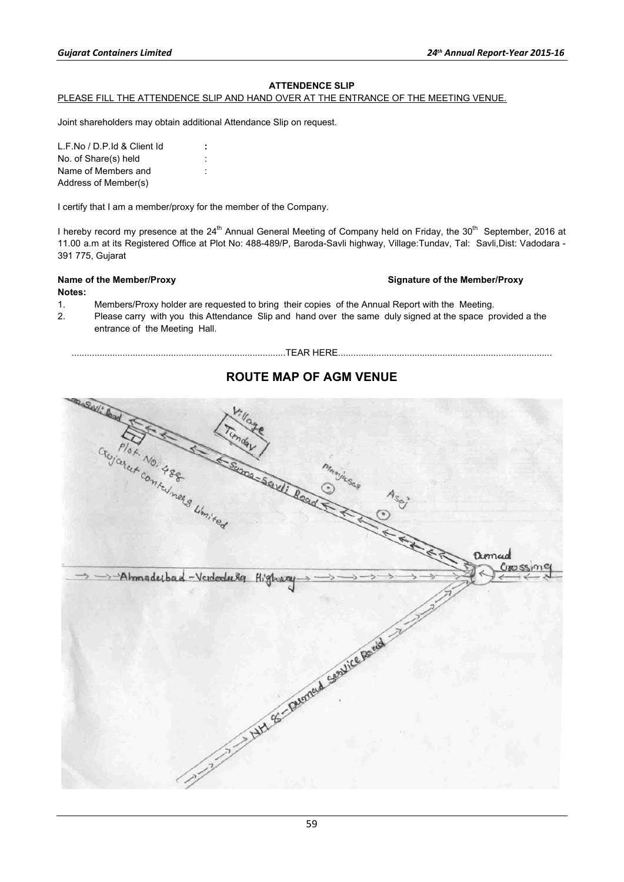## **ATTENDENCE SLIP**

#### PLEASE FILL THE ATTENDENCE SLIP AND HAND OVER AT THE ENTRANCE OF THE MEETING VENUE.

Joint shareholders may obtain additional Attendance Slip on request.

L.F.No / D.P.Id & Client Id **:**  No. of Share(s) held : Name of Members and : Address of Member(s)

I certify that I am a member/proxy for the member of the Company.

I hereby record my presence at the 24<sup>th</sup> Annual General Meeting of Company held on Friday, the 30<sup>th</sup> September, 2016 at 11.00 a.m at its Registered Office at Plot No: 488-489/P, Baroda-Savli highway, Village:Tundav, Tal: Savli,Dist: Vadodara - 391 775, Gujarat

### Name of the Member/Proxy **Name of the Member/Proxy Signature of the Member/Proxy**

#### **Notes:**

- 1. Members/Proxy holder are requested to bring their copies of the Annual Report with the Meeting.
- 2. Please carry with you this Attendance Slip and hand over the same duly signed at the space provided a the entrance of the Meeting Hall.

# **ROUTE MAP OF AGM VENUE**